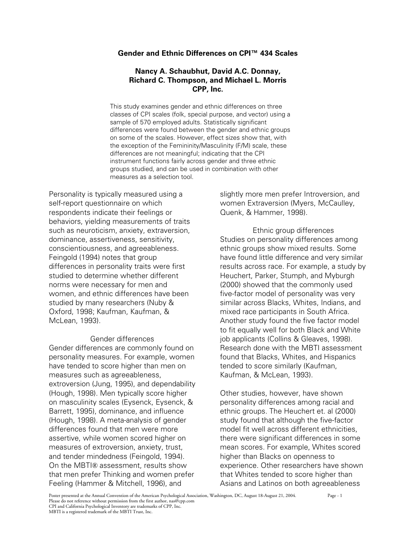# **Gender and Ethnic Differences on CPI™ 434 Scales**

# **Nancy A. Schaubhut, David A.C. Donnay, Richard C. Thompson, and Michael L. Morris CPP, Inc.**

This study examines gender and ethnic differences on three classes of CPI scales (folk, special purpose, and vector) using a sample of 570 employed adults. Statistically significant differences were found between the gender and ethnic groups on some of the scales. However, effect sizes show that, with the exception of the Femininity/Masculinity (F/M) scale, these differences are not meaningful; indicating that the CPI instrument functions fairly across gender and three ethnic groups studied, and can be used in combination with other measures as a selection tool.

Personality is typically measured using a self-report questionnaire on which respondents indicate their feelings or behaviors, yielding measurements of traits such as neuroticism, anxiety, extraversion, dominance, assertiveness, sensitivity, conscientiousness, and agreeableness. Feingold (1994) notes that group differences in personality traits were first studied to determine whether different norms were necessary for men and women, and ethnic differences have been studied by many researchers (Nuby & Oxford, 1998; Kaufman, Kaufman, & McLean, 1993).

# Gender differences

Gender differences are commonly found on personality measures. For example, women have tended to score higher than men on measures such as agreeableness, extroversion (Jung, 1995), and dependability (Hough, 1998). Men typically score higher on masculinity scales (Eysenck, Eysenck, & Barrett, 1995), dominance, and influence (Hough, 1998). A meta-analysis of gender differences found that men were more assertive, while women scored higher on measures of extroversion, anxiety, trust, and tender mindedness (Feingold, 1994). On the MBTI® assessment, results show that men prefer Thinking and women prefer Feeling (Hammer & Mitchell, 1996), and

slightly more men prefer Introversion, and women Extraversion (Myers, McCaulley, Quenk, & Hammer, 1998).

Ethnic group differences Studies on personality differences among ethnic groups show mixed results. Some have found little difference and very similar results across race. For example, a study by Heuchert, Parker, Stumph, and Myburgh (2000) showed that the commonly used five-factor model of personality was very similar across Blacks, Whites, Indians, and mixed race participants in South Africa. Another study found the five factor model to fit equally well for both Black and White job applicants (Collins & Gleaves, 1998). Research done with the MBTI assessment found that Blacks, Whites, and Hispanics tended to score similarly (Kaufman, Kaufman, & McLean, 1993).

Other studies, however, have shown personality differences among racial and ethnic groups. The Heuchert et. al (2000) study found that although the five-factor model fit well across different ethnicities, there were significant differences in some mean scores. For example, Whites scored higher than Blacks on openness to experience. Other researchers have shown that Whites tended to score higher than Asians and Latinos on both agreeableness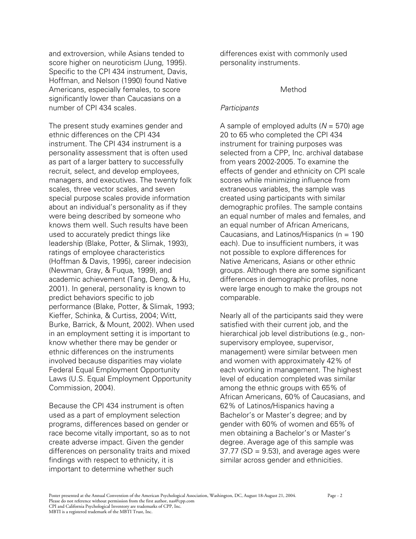and extroversion, while Asians tended to score higher on neuroticism (Jung, 1995). Specific to the CPI 434 instrument, Davis, Hoffman, and Nelson (1990) found Native Americans, especially females, to score significantly lower than Caucasians on a number of CPI 434 scales.

The present study examines gender and ethnic differences on the CPI 434 instrument. The CPI 434 instrument is a personality assessment that is often used as part of a larger battery to successfully recruit, select, and develop employees, managers, and executives. The twenty folk scales, three vector scales, and seven special purpose scales provide information about an individual's personality as if they were being described by someone who knows them well. Such results have been used to accurately predict things like leadership (Blake, Potter, & Slimak, 1993), ratings of employee characteristics (Hoffman & Davis, 1995), career indecision (Newman, Gray, & Fuqua, 1999), and academic achievement (Tang, Deng, & Hu, 2001). In general, personality is known to predict behaviors specific to job performance (Blake, Potter, & Slimak, 1993; Kieffer, Schinka, & Curtiss, 2004; Witt, Burke, Barrick, & Mount, 2002). When used in an employment setting it is important to know whether there may be gender or ethnic differences on the instruments involved because disparities may violate Federal Equal Employment Opportunity Laws (U.S. Equal Employment Opportunity Commission, 2004).

Because the CPI 434 instrument is often used as a part of employment selection programs, differences based on gender or race become vitally important, so as to not create adverse impact. Given the gender differences on personality traits and mixed findings with respect to ethnicity, it is important to determine whether such

differences exist with commonly used personality instruments.

#### Method

## *Participants*

A sample of employed adults (*N* = 570) age 20 to 65 who completed the CPI 434 instrument for training purposes was selected from a CPP, Inc. archival database from years 2002-2005. To examine the effects of gender and ethnicity on CPI scale scores while minimizing influence from extraneous variables, the sample was created using participants with similar demographic profiles. The sample contains an equal number of males and females, and an equal number of African Americans, Caucasians, and Latinos/Hispanics ( $n = 190$ each). Due to insufficient numbers, it was not possible to explore differences for Native Americans, Asians or other ethnic groups. Although there are some significant differences in demographic profiles, none were large enough to make the groups not comparable.

Nearly all of the participants said they were satisfied with their current job, and the hierarchical job level distributions (e.g., nonsupervisory employee, supervisor, management) were similar between men and women with approximately 42% of each working in management. The highest level of education completed was similar among the ethnic groups with 65% of African Americans, 60% of Caucasians, and 62% of Latinos/Hispanics having a Bachelor's or Master's degree; and by gender with 60% of women and 65% of men obtaining a Bachelor's or Master's degree. Average age of this sample was  $37.77$  (SD =  $9.53$ ), and average ages were similar across gender and ethnicities.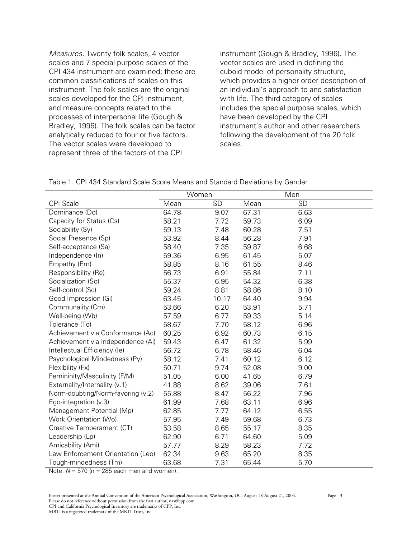*Measures.* Twenty folk scales, 4 vector scales and 7 special purpose scales of the CPI 434 instrument are examined; these are common classifications of scales on this instrument. The folk scales are the original scales developed for the CPI instrument, and measure concepts related to the processes of interpersonal life (Gough & Bradley, 1996). The folk scales can be factor analytically reduced to four or five factors. The vector scales were developed to represent three of the factors of the CPI

instrument (Gough & Bradley, 1996). The vector scales are used in defining the cuboid model of personality structure, which provides a higher order description of an individual's approach to and satisfaction with life. The third category of scales includes the special purpose scales, which have been developed by the CPI instrument's author and other researchers following the development of the 20 folk scales.

|  |  | Table 1. CPI 434 Standard Scale Score Means and Standard Deviations by Gender |  |  |  |  |  |  |  |
|--|--|-------------------------------------------------------------------------------|--|--|--|--|--|--|--|
|--|--|-------------------------------------------------------------------------------|--|--|--|--|--|--|--|

|                                   |       | Women     |       | Men       |
|-----------------------------------|-------|-----------|-------|-----------|
| <b>CPI</b> Scale                  | Mean  | <b>SD</b> | Mean  | <b>SD</b> |
| Dominance (Do)                    | 64.78 | 9.07      | 67.31 | 6.63      |
| Capacity for Status (Cs)          | 58.21 | 7.72      | 59.73 | 6.09      |
| Sociability (Sy)                  | 59.13 | 7.48      | 60.28 | 7.51      |
| Social Presence (Sp)              | 53.92 | 8.44      | 56.28 | 7.91      |
| Self-acceptance (Sa)              | 58.40 | 7.35      | 59.87 | 6.68      |
| Independence (In)                 | 59.36 | 6.95      | 61.45 | 5.07      |
| Empathy (Em)                      | 58.85 | 8.16      | 61.55 | 8.46      |
| Responsibility (Re)               | 56.73 | 6.91      | 55.84 | 7.11      |
| Socialization (So)                | 55.37 | 6.95      | 54.32 | 6.38      |
| Self-control (Sc)                 | 59.24 | 8.81      | 58.86 | 8.10      |
| Good Impression (Gi)              | 63.45 | 10.17     | 64.40 | 9.94      |
| Communality (Cm)                  | 53.66 | 6.20      | 53.91 | 5.71      |
| Well-being (Wb)                   | 57.59 | 6.77      | 59.33 | 5.14      |
| Tolerance (To)                    | 58.67 | 7.70      | 58.12 | 6.96      |
| Achievement via Conformance (Ac)  | 60.25 | 6.92      | 60.73 | 6.15      |
| Achievement via Independence (Ai) | 59.43 | 6.47      | 61.32 | 5.99      |
| Intellectual Efficiency (le)      | 56.72 | 6.78      | 58.46 | 6.04      |
| Psychological Mindedness (Py)     | 58.12 | 7.41      | 60.12 | 6.12      |
| Flexibility (Fx)                  | 50.71 | 9.74      | 52.08 | 9.00      |
| Femininity/Masculinity (F/M)      | 51.05 | 6.00      | 41.65 | 6.79      |
| Externality/Internality (v.1)     | 41.88 | 8.62      | 39.06 | 7.61      |
| Norm-doubting/Norm-favoring (v.2) | 55.88 | 8.47      | 56.22 | 7.96      |
| Ego-integration (v.3)             | 61.99 | 7.68      | 63.11 | 6.96      |
| Management Potential (Mp)         | 62.85 | 7.77      | 64.12 | 6.55      |
| Work Orientation (Wo)             | 57.95 | 7.49      | 59.68 | 6.73      |
| Creative Temperament (CT)         | 53.58 | 8.65      | 55.17 | 8.35      |
| Leadership (Lp)                   | 62.90 | 6.71      | 64.60 | 5.09      |
| Amicability (Ami)                 | 57.77 | 8.29      | 58.23 | 7.72      |
| Law Enforcement Orientation (Leo) | 62.34 | 9.63      | 65.20 | 8.35      |
| Tough-mindedness (Tm)             | 63.68 | 7.31      | 65.44 | 5.70      |

Note:  $N = 570$  ( $n = 285$  each men and women).

Poster presented at the Annual Convention of the American Psychological Association, Washington, DC, August 18-August 21, 2004. Page - 3

Please do not reference without permission from the first author, nas@cpp.com CPI and California Psychological Inventory are trademarks of CPP, Inc.

MBTI is a registered trademark of the MBTI Trust, Inc.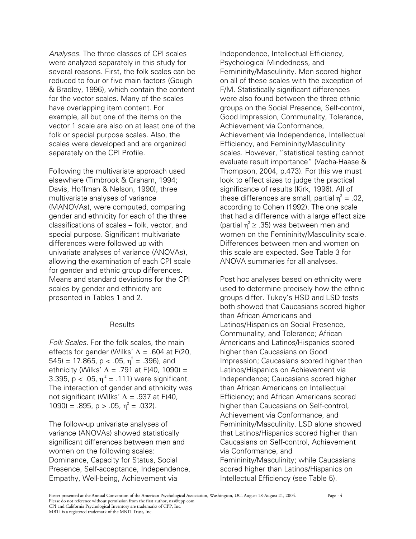*Analyses.* The three classes of CPI scales were analyzed separately in this study for several reasons. First, the folk scales can be reduced to four or five main factors (Gough & Bradley, 1996), which contain the content for the vector scales. Many of the scales have overlapping item content. For example, all but one of the items on the vector 1 scale are also on at least one of the folk or special purpose scales. Also, the scales were developed and are organized separately on the CPI Profile.

Following the multivariate approach used elsewhere (Timbrook & Graham, 1994; Davis, Hoffman & Nelson, 1990), three multivariate analyses of variance (MANOVAs), were computed, comparing gender and ethnicity for each of the three classifications of scales – folk, vector, and special purpose. Significant multivariate differences were followed up with univariate analyses of variance (ANOVAs), allowing the examination of each CPI scale for gender and ethnic group differences. Means and standard deviations for the CPI scales by gender and ethnicity are presented in Tables 1 and 2.

## **Results**

*Folk Scales.* For the folk scales, the main effects for gender (Wilks'  $\Lambda$  = .604 at F(20, 545) = 17.865, p < .05,  $\eta^2$  = .396), and ethnicity (Wilks'  $\Lambda$  = .791 at F(40, 1090) = 3.395,  $p < .05$ ,  $n^2 = .111$ ) were significant. The interaction of gender and ethnicity was not significant (Wilks'  $\Lambda$  = .937 at F(40, 1090) = .895,  $p > .05$ ,  $\eta^2 = .032$ ).

The follow-up univariate analyses of variance (ANOVAs) showed statistically significant differences between men and women on the following scales: Dominance, Capacity for Status, Social Presence, Self-acceptance, Independence, Empathy, Well-being, Achievement via

Independence, Intellectual Efficiency, Psychological Mindedness, and Femininity/Masculinity. Men scored higher on all of these scales with the exception of F/M. Statistically significant differences were also found between the three ethnic groups on the Social Presence, Self-control, Good Impression, Communality, Tolerance, Achievement via Conformance, Achievement via Independence, Intellectual Efficiency, and Femininity/Masculinity scales. However, "statistical testing cannot evaluate result importance" (Vacha-Haase & Thompson, 2004, p.473). For this we must look to effect sizes to judge the practical significance of results (Kirk, 1996). All of these differences are small, partial  $\eta^2 = .02$ , according to Cohen (1992). The one scale that had a difference with a large effect size (partial  $\eta^2 \geq 0.35$ ) was between men and women on the Femininity/Masculinity scale. Differences between men and women on this scale are expected. See Table 3 for ANOVA summaries for all analyses.

Post hoc analyses based on ethnicity were used to determine precisely how the ethnic groups differ. Tukey's HSD and LSD tests both showed that Caucasians scored higher than African Americans and Latinos/Hispanics on Social Presence, Communality, and Tolerance; African Americans and Latinos/Hispanics scored higher than Caucasians on Good Impression; Caucasians scored higher than Latinos/Hispanics on Achievement via Independence; Caucasians scored higher than African Americans on Intellectual Efficiency; and African Americans scored higher than Caucasians on Self-control, Achievement via Conformance, and Femininity/Masculinity. LSD alone showed that Latinos/Hispanics scored higher than Caucasians on Self-control, Achievement via Conformance, and Femininity/Masculinity; while Caucasians scored higher than Latinos/Hispanics on Intellectual Efficiency (see Table 5).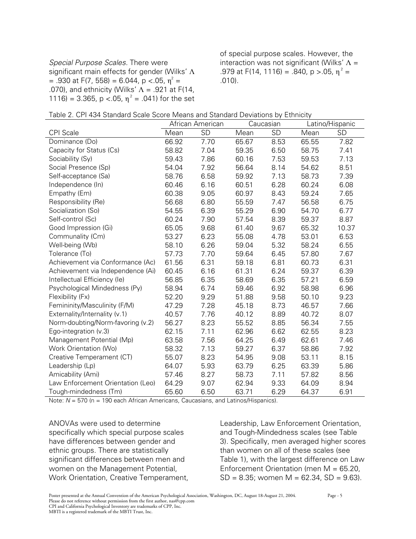*Special Purpose Scales.* There were significant main effects for gender (Wilks' Λ  $= .930$  at F(7, 558) = 6.044, p <.05,  $\eta^2 =$ .070), and ethnicity (Wilks'  $\Lambda$  = .921 at F(14, 1116) = 3.365, p <.05,  $n^2$  = .041) for the set of special purpose scales. However, the interaction was not significant (Wilks'  $\Lambda$  = .979 at F(14, 1116) = .840,  $p > .05$ ,  $\eta^2$  = .010).

| Table 2. CPI 434 Standard Scale Score Means and Standard Deviations by Ethnicity |  |  |
|----------------------------------------------------------------------------------|--|--|
|----------------------------------------------------------------------------------|--|--|

|                                   | African American |      |       | Caucasian |       | Latino/Hispanic |  |
|-----------------------------------|------------------|------|-------|-----------|-------|-----------------|--|
| <b>CPI</b> Scale                  | Mean             | SD   | Mean  | SD        | Mean  | SD              |  |
| Dominance (Do)                    | 66.92            | 7.70 | 65.67 | 8.53      | 65.55 | 7.82            |  |
| Capacity for Status (Cs)          | 58.82            | 7.04 | 59.35 | 6.50      | 58.75 | 7.41            |  |
| Sociability (Sy)                  | 59.43            | 7.86 | 60.16 | 7.53      | 59.53 | 7.13            |  |
| Social Presence (Sp)              | 54.04            | 7.92 | 56.64 | 8.14      | 54.62 | 8.51            |  |
| Self-acceptance (Sa)              | 58.76            | 6.58 | 59.92 | 7.13      | 58.73 | 7.39            |  |
| Independence (In)                 | 60.46            | 6.16 | 60.51 | 6.28      | 60.24 | 6.08            |  |
| Empathy (Em)                      | 60.38            | 9.05 | 60.97 | 8.43      | 59.24 | 7.65            |  |
| Responsibility (Re)               | 56.68            | 6.80 | 55.59 | 7.47      | 56.58 | 6.75            |  |
| Socialization (So)                | 54.55            | 6.39 | 55.29 | 6.90      | 54.70 | 6.77            |  |
| Self-control (Sc)                 | 60.24            | 7.90 | 57.54 | 8.39      | 59.37 | 8.87            |  |
| Good Impression (Gi)              | 65.05            | 9.68 | 61.40 | 9.67      | 65.32 | 10.37           |  |
| Communality (Cm)                  | 53.27            | 6.23 | 55.08 | 4.78      | 53.01 | 6.53            |  |
| Well-being (Wb)                   | 58.10            | 6.26 | 59.04 | 5.32      | 58.24 | 6.55            |  |
| Tolerance (To)                    | 57.73            | 7.70 | 59.64 | 6.45      | 57.80 | 7.67            |  |
| Achievement via Conformance (Ac)  | 61.56            | 6.31 | 59.18 | 6.81      | 60.73 | 6.31            |  |
| Achievement via Independence (Ai) | 60.45            | 6.16 | 61.31 | 6.24      | 59.37 | 6.39            |  |
| Intellectual Efficiency (le)      | 56.85            | 6.35 | 58.69 | 6.35      | 57.21 | 6.59            |  |
| Psychological Mindedness (Py)     | 58.94            | 6.74 | 59.46 | 6.92      | 58.98 | 6.96            |  |
| Flexibility (Fx)                  | 52.20            | 9.29 | 51.88 | 9.58      | 50.10 | 9.23            |  |
| Femininity/Masculinity (F/M)      | 47.29            | 7.28 | 45.18 | 8.73      | 46.57 | 7.66            |  |
| Externality/Internality (v.1)     | 40.57            | 7.76 | 40.12 | 8.89      | 40.72 | 8.07            |  |
| Norm-doubting/Norm-favoring (v.2) | 56.27            | 8.23 | 55.52 | 8.85      | 56.34 | 7.55            |  |
| Ego-integration (v.3)             | 62.15            | 7.11 | 62.96 | 6.62      | 62.55 | 8.23            |  |
| Management Potential (Mp)         | 63.58            | 7.56 | 64.25 | 6.49      | 62.61 | 7.46            |  |
| Work Orientation (Wo)             | 58.32            | 7.13 | 59.27 | 6.37      | 58.86 | 7.92            |  |
| Creative Temperament (CT)         | 55.07            | 8.23 | 54.95 | 9.08      | 53.11 | 8.15            |  |
| Leadership (Lp)                   | 64.07            | 5.93 | 63.79 | 6.25      | 63.39 | 5.86            |  |
| Amicability (Ami)                 | 57.46            | 8.27 | 58.73 | 7.11      | 57.82 | 8.56            |  |
| Law Enforcement Orientation (Leo) | 64.29            | 9.07 | 62.94 | 9.33      | 64.09 | 8.94            |  |
| Tough-mindedness (Tm)             | 65.60            | 6.50 | 63.71 | 6.29      | 64.37 | 6.91            |  |

Note:  $N = 570$  (n = 190 each African Americans, Caucasians, and Latinos/Hispanics).

ANOVAs were used to determine specifically which special purpose scales have differences between gender and ethnic groups. There are statistically significant differences between men and women on the Management Potential, Work Orientation, Creative Temperament,

Leadership, Law Enforcement Orientation, and Tough-Mindedness scales (see Table 3). Specifically, men averaged higher scores than women on all of these scales (see Table 1), with the largest difference on Law Enforcement Orientation (men M = 65.20,  $SD = 8.35$ ; women M = 62.34, SD = 9.63).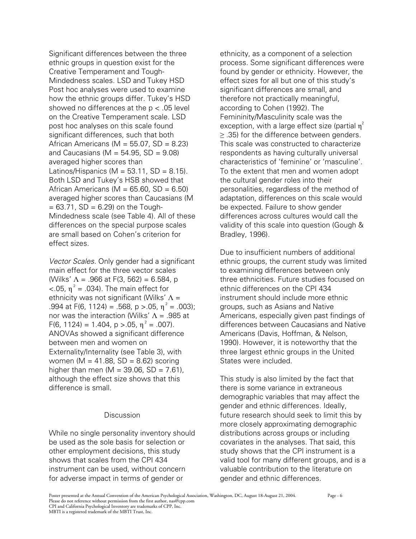Significant differences between the three ethnic groups in question exist for the Creative Temperament and Tough-Mindedness scales. LSD and Tukey HSD Post hoc analyses were used to examine how the ethnic groups differ. Tukey's HSD showed no differences at the p < .05 level on the Creative Temperament scale. LSD post hoc analyses on this scale found significant differences, such that both African Americans ( $M = 55.07$ ,  $SD = 8.23$ ) and Caucasians ( $M = 54.95$ ,  $SD = 9.08$ ) averaged higher scores than Latinos/Hispanics ( $M = 53.11$ , SD = 8.15). Both LSD and Tukey's HSB showed that African Americans ( $M = 65.60$ ,  $SD = 6.50$ ) averaged higher scores than Caucasians (M  $= 63.71$ , SD  $= 6.29$ ) on the Tough-Mindedness scale (see Table 4). All of these differences on the special purpose scales are small based on Cohen's criterion for effect sizes.

*Vector Scales.* Only gender had a significant main effect for the three vector scales (Wilks'  $\Lambda = .966$  at F(3, 562) = 6.584, p  $<$ .05,  $\eta^2$  = .034). The main effect for ethnicity was not significant (Wilks'  $\Lambda$  = .994 at F(6, 1124) = .568, p > .05,  $\eta^2$  = .003); nor was the interaction (Wilks'  $\Lambda$  = .985 at F(6, 1124) = 1.404, p > 05,  $\eta^2$  = .007). ANOVAs showed a significant difference between men and women on Externality/Internality (see Table 3), with women ( $M = 41.88$ , SD = 8.62) scoring higher than men ( $M = 39.06$ , SD = 7.61), although the effect size shows that this difference is small.

#### Discussion

While no single personality inventory should be used as the sole basis for selection or other employment decisions, this study shows that scales from the CPI 434 instrument can be used, without concern for adverse impact in terms of gender or

ethnicity, as a component of a selection process. Some significant differences were found by gender or ethnicity. However, the effect sizes for all but one of this study's significant differences are small, and therefore not practically meaningful, according to Cohen (1992). The Femininity/Masculinity scale was the exception, with a large effect size (partial  $\eta^2$  $\ge$  .35) for the difference between genders. This scale was constructed to characterize respondents as having culturally universal characteristics of 'feminine' or 'masculine'. To the extent that men and women adopt the cultural gender roles into their personalities, regardless of the method of adaptation, differences on this scale would be expected. Failure to show gender differences across cultures would call the validity of this scale into question (Gough & Bradley, 1996).

Due to insufficient numbers of additional ethnic groups, the current study was limited to examining differences between only three ethnicities. Future studies focused on ethnic differences on the CPI 434 instrument should include more ethnic groups, such as Asians and Native Americans, especially given past findings of differences between Caucasians and Native Americans (Davis, Hoffman, & Nelson, 1990). However, it is noteworthy that the three largest ethnic groups in the United States were included.

This study is also limited by the fact that there is some variance in extraneous demographic variables that may affect the gender and ethnic differences. Ideally, future research should seek to limit this by more closely approximating demographic distributions across groups or including covariates in the analyses. That said, this study shows that the CPI instrument is a valid tool for many different groups, and is a valuable contribution to the literature on gender and ethnic differences.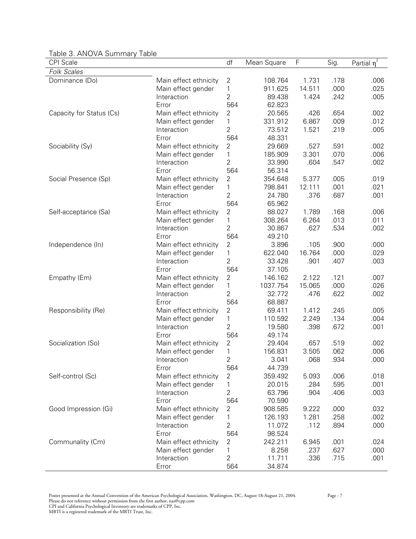| <b>CPI</b> Scale         |                                   | df             | Mean Square | F      | Sig. | Partial $\overline{\eta^2}$ |
|--------------------------|-----------------------------------|----------------|-------------|--------|------|-----------------------------|
| <b>Folk Scales</b>       |                                   |                |             |        |      |                             |
| Dominance (Do)           | Main effect ethnicity             | $\mathbf{2}$   | 108.764     | 1.731  | .178 | .006                        |
|                          | Main effect gender                | 1              | 911.625     | 14.511 | .000 | .025                        |
|                          | Interaction                       | $\overline{2}$ | 89.438      | 1.424  | .242 | .005                        |
|                          | Error                             | 564            | 62.823      |        |      |                             |
| Capacity for Status (Cs) | Main effect ethnicity             | $\mathbf{2}$   | 20.565      | .426   | .654 | .002                        |
|                          | Main effect gender                | 1              | 331.912     | 6.867  | .009 | .012                        |
|                          | Interaction                       | $\overline{2}$ | 73.512      | 1.521  | .219 | .005                        |
|                          | Error                             | 564            | 48.331      |        |      |                             |
| Sociability (Sy)         | Main effect ethnicity             | $\mathbf{2}$   | 29.669      | .527   | .591 | .002                        |
|                          | Main effect gender                | 1              | 185.909     | 3.301  | .070 | .006                        |
|                          | Interaction                       | $\overline{2}$ | 33.990      | .604   | .547 | .002                        |
|                          | Error                             | 564            | 56.314      |        |      |                             |
| Social Presence (Sp)     | Main effect ethnicity             | 2              | 354.648     | 5.377  | .005 | .019                        |
|                          | Main effect gender                | 1              | 798.841     | 12.111 | .001 | .021                        |
|                          | Interaction                       | 2              | 24.780      | .376   | .687 | .001                        |
|                          | Error                             | 564            | 65.962      |        |      |                             |
| Self-acceptance (Sa)     | Main effect ethnicity             | $\mathbf{2}$   | 88.027      | 1.789  | .168 | .006                        |
|                          | Main effect gender                | 1              | 308.264     | 6.264  | .013 | .011                        |
|                          | Interaction                       | $\overline{2}$ | 30.867      | .627   | .534 | .002                        |
|                          | Error                             | 564            | 49.210      |        |      |                             |
| Independence (In)        | Main effect ethnicity             | $\overline{2}$ | 3.896       | .105   | .900 | .000                        |
|                          | Main effect gender                | 1              | 622.040     | 16.764 | .000 | .029                        |
|                          | Interaction                       | $\overline{2}$ | 33.428      | .901   | .407 | .003                        |
|                          | Error                             | 564            | 37.105      |        |      |                             |
| Empathy (Em)             | Main effect ethnicity             | $\sqrt{2}$     | 146.162     | 2.122  | .121 | .007                        |
|                          | Main effect gender                | 1              | 1037.754    | 15.065 | .000 | .026                        |
|                          | Interaction                       | $\overline{2}$ | 32.772      | .476   | .622 | .002                        |
|                          | Error                             | 564            | 68.887      |        |      |                             |
| Responsibility (Re)      | Main effect ethnicity             | $\mathbf{2}$   | 69.411      | 1.412  | .245 | .005                        |
|                          | Main effect gender                | 1              | 110.592     | 2.249  | .134 | .004                        |
|                          | Interaction                       | $\overline{2}$ | 19.580      | .398   | .672 | .001                        |
|                          | Error                             | 564            | 49.174      |        |      |                             |
| Socialization (So)       | Main effect ethnicity             | $\sqrt{2}$     | 29.404      | .657   | .519 | .002                        |
|                          | Main effect gender                | 1              | 156.831     | 3.505  | .062 | .006                        |
|                          | Interaction                       | $\overline{c}$ | 3.041       | .068   | .934 | .000                        |
|                          | Error                             | 564            | 44.739      |        |      |                             |
| Self-control (Sc)        | Main effect ethnicity             | 2              | 359.492     | 5.093  | .006 | .018                        |
|                          | Main effect gender                | 1              | 20.015      | .284   | .595 | .001                        |
|                          | Interaction                       | $\overline{2}$ | 63.796      | .904   | .406 | .003                        |
|                          | Error                             | 564            | 70.590      |        |      |                             |
| Good Impression (Gi)     | Main effect ethnicity             | 2              | 908.585     | 9.222  | .000 | .032                        |
|                          |                                   | 1              | 126.193     | 1.281  | .258 | .002                        |
|                          | Main effect gender<br>Interaction | $\overline{2}$ | 11.072      | .112   | .894 | .000                        |
|                          |                                   |                |             |        |      |                             |
|                          | Error                             | 564            | 98.524      |        |      |                             |
| Communality (Cm)         | Main effect ethnicity             | 2              | 242.211     | 6.945  | .001 | .024                        |
|                          | Main effect gender                | 1              | 8.258       | .237   | .627 | .000                        |
|                          | Interaction                       | $\overline{2}$ | 11.711      | .336   | .715 | .001                        |
|                          | Error                             | 564            | 34.874      |        |      |                             |

Table 3. ANOVA Summary Table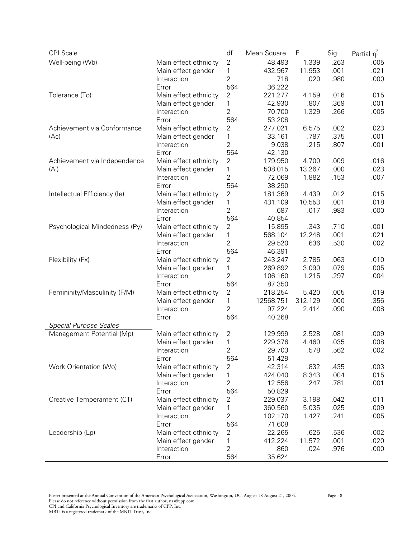| CPI Scale                     |                       | df             | Mean Square | F       | Sig. | Partial $\eta^2$ |
|-------------------------------|-----------------------|----------------|-------------|---------|------|------------------|
| Well-being (Wb)               | Main effect ethnicity | $\overline{2}$ | 48.493      | 1.339   | .263 | .005             |
|                               | Main effect gender    | 1              | 432.967     | 11.953  | .001 | .021             |
|                               | Interaction           | $\overline{2}$ | .718        | .020    | .980 | .000             |
|                               | Error                 | 564            | 36.222      |         |      |                  |
| Tolerance (To)                | Main effect ethnicity | 2              | 221.277     | 4.159   | .016 | .015             |
|                               | Main effect gender    | 1              | 42.930      | .807    | .369 | .001             |
|                               | Interaction           | 2              | 70.700      | 1.329   | .266 | .005             |
|                               | Error                 | 564            | 53.208      |         |      |                  |
| Achievement via Conformance   | Main effect ethnicity | 2              | 277.021     | 6.575   | .002 | .023             |
| (Ac)                          | Main effect gender    | $\mathbf 1$    | 33.161      | .787    | .375 | .001             |
|                               | Interaction           | $\overline{2}$ | 9.038       | .215    | .807 | .001             |
|                               | Error                 | 564            | 42.130      |         |      |                  |
| Achievement via Independence  | Main effect ethnicity | 2              | 179.950     | 4.700   | .009 | .016             |
| (Ai)                          | Main effect gender    | $\mathbf 1$    | 508.015     | 13.267  | .000 | .023             |
|                               | Interaction           | $\overline{2}$ | 72.069      | 1.882   | .153 | .007             |
|                               | Error                 | 564            | 38.290      |         |      |                  |
| Intellectual Efficiency (le)  | Main effect ethnicity | 2              | 181.369     | 4.439   | .012 | .015             |
|                               | Main effect gender    | 1              | 431.109     | 10.553  | .001 | .018             |
|                               | Interaction           | 2              | .687        | .017    | .983 | .000             |
|                               | Error                 | 564            | 40.854      |         |      |                  |
| Psychological Mindedness (Py) | Main effect ethnicity | 2              | 15.895      | .343    | .710 | .001             |
|                               | Main effect gender    | 1              | 568.104     | 12.246  | .001 | .021             |
|                               | Interaction           | 2              | 29.520      | .636    | .530 | .002             |
|                               | Error                 | 564            | 46.391      |         |      |                  |
| Flexibility (Fx)              | Main effect ethnicity | $\overline{2}$ | 243.247     | 2.785   | .063 | .010             |
|                               | Main effect gender    | 1              | 269.892     | 3.090   | .079 | .005             |
|                               | Interaction           | $\overline{2}$ | 106.160     | 1.215   | .297 | .004             |
|                               | Error                 | 564            | 87.350      |         |      |                  |
| Femininity/Masculinity (F/M)  | Main effect ethnicity | 2              | 218.254     | 5.420   | .005 | .019             |
|                               | Main effect gender    | 1              | 12568.751   | 312.129 | .000 | .356             |
|                               | Interaction           | $\overline{2}$ | 97.224      | 2.414   | .090 | .008             |
|                               | Error                 | 564            | 40.268      |         |      |                  |
| <b>Special Purpose Scales</b> |                       |                |             |         |      |                  |
| Management Potential (Mp)     | Main effect ethnicity | 2              | 129.999     | 2.528   | .081 | .009             |
|                               | Main effect gender    | 1              | 229.376     | 4.460   | .035 | .008             |
|                               | Interaction           | 2              | 29.703      | .578    | .562 | .002             |
|                               | Error                 | 564            | 51.429      |         |      |                  |
| Work Orientation (Wo)         | Main effect ethnicity | 2              | 42.314      | .832    | .435 | .003             |
|                               | Main effect gender    | 1              | 424.040     | 8.343   | .004 | .015             |
|                               | Interaction           | 2              | 12.556      | .247    | .781 | .001             |
|                               | Error                 | 564            | 50.829      |         |      |                  |
| Creative Temperament (CT)     | Main effect ethnicity | 2              | 229.037     | 3.198   | .042 | .011             |
|                               | Main effect gender    | 1              | 360.560     | 5.035   | .025 | .009             |
|                               | Interaction           | 2              | 102.170     | 1.427   | .241 | .005             |
|                               | Error                 | 564            | 71.608      |         |      |                  |
| Leadership (Lp)               | Main effect ethnicity | 2              | 22.265      | .625    | .536 | .002             |
|                               | Main effect gender    | 1              | 412.224     | 11.572  | .001 | .020             |
|                               | Interaction           | 2              | .860        | .024    | .976 | .000             |
|                               | Error                 | 564            | 35.624      |         |      |                  |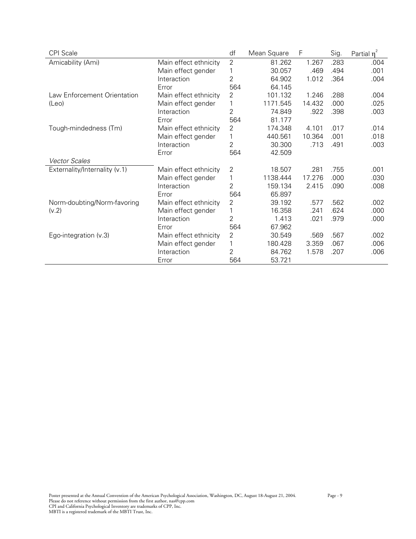| <b>CPI</b> Scale              |                       | df             | Mean Square | F      | Sig. | Partial $\eta^2$ |
|-------------------------------|-----------------------|----------------|-------------|--------|------|------------------|
| Amicability (Ami)             | Main effect ethnicity | $\overline{2}$ | 81.262      | 1.267  | .283 | .004             |
|                               | Main effect gender    |                | 30.057      | .469   | .494 | .001             |
|                               | Interaction           | 2              | 64.902      | 1.012  | .364 | .004             |
|                               | Error                 | 564            | 64.145      |        |      |                  |
| Law Enforcement Orientation   | Main effect ethnicity | $\overline{2}$ | 101.132     | 1.246  | .288 | .004             |
| (Leo)                         | Main effect gender    |                | 1171.545    | 14.432 | .000 | .025             |
|                               | Interaction           | 2              | 74.849      | .922   | .398 | .003             |
|                               | Error                 | 564            | 81.177      |        |      |                  |
| Tough-mindedness (Tm)         | Main effect ethnicity | 2              | 174.348     | 4.101  | .017 | .014             |
|                               | Main effect gender    |                | 440.561     | 10.364 | .001 | .018             |
|                               | Interaction           | 2              | 30.300      | .713   | .491 | .003             |
|                               | Error                 | 564            | 42.509      |        |      |                  |
| <b>Vector Scales</b>          |                       |                |             |        |      |                  |
| Externality/Internality (v.1) | Main effect ethnicity | $\overline{2}$ | 18.507      | .281   | .755 | .001             |
|                               | Main effect gender    | 1              | 1138.444    | 17.276 | .000 | .030             |
|                               | Interaction           | 2              | 159.134     | 2.415  | .090 | .008             |
|                               | Error                 | 564            | 65.897      |        |      |                  |
| Norm-doubting/Norm-favoring   | Main effect ethnicity | $\overline{2}$ | 39.192      | .577   | .562 | .002             |
| (v.2)                         | Main effect gender    | 1              | 16.358      | .241   | .624 | .000             |
|                               | Interaction           | 2              | 1.413       | .021   | .979 | .000             |
|                               | Error                 | 564            | 67.962      |        |      |                  |
| Ego-integration $(v.3)$       | Main effect ethnicity | $\overline{2}$ | 30.549      | .569   | .567 | .002             |
|                               | Main effect gender    |                | 180.428     | 3.359  | .067 | .006             |
|                               | Interaction           | 2              | 84.762      | 1.578  | .207 | .006             |
|                               | Error                 | 564            | 53.721      |        |      |                  |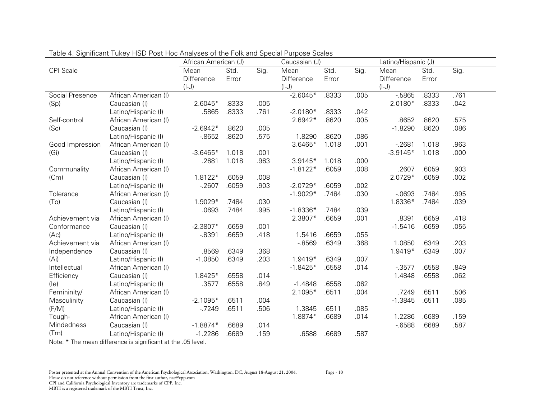|                   | African American (J) |            |       | Caucasian (J)               |            |       | Latino/Hispanic (J) |            |       |      |
|-------------------|----------------------|------------|-------|-----------------------------|------------|-------|---------------------|------------|-------|------|
| <b>CPI</b> Scale  |                      | Mean       | Std.  | $\overline{\mathrm{Sig}}$ . | Mean       | Std.  | Sig.                | Mean       | Std.  | Sig. |
|                   |                      | Difference | Error |                             | Difference | Error |                     | Difference | Error |      |
|                   |                      | $(I-J)$    |       |                             | $(I-J)$    |       |                     | $(I-J)$    |       |      |
| Social Presence   | African American (I) |            |       |                             | $-2.6045*$ | .8333 | .005                | $-5865$    | .8333 | .761 |
| (Sp)              | Caucasian (I)        | $2.6045*$  | .8333 | .005                        |            |       |                     | 2.0180*    | .8333 | .042 |
|                   | Latino/Hispanic (I)  | .5865      | .8333 | .761                        | $-2.0180*$ | .8333 | .042                |            |       |      |
| Self-control      | African American (I) |            |       |                             | 2.6942*    | .8620 | .005                | .8652      | .8620 | .575 |
| (Sc)              | Caucasian (I)        | $-2.6942*$ | .8620 | .005                        |            |       |                     | $-1.8290$  | .8620 | .086 |
|                   | Latino/Hispanic (I)  | $-0.8652$  | .8620 | .575                        | 1.8290     | .8620 | .086                |            |       |      |
| Good Impression   | African American (I) |            |       |                             | $3.6465*$  | 1.018 | .001                | $-2681$    | 1.018 | .963 |
| (Gi)              | Caucasian (I)        | $-3.6465*$ | 1.018 | .001                        |            |       |                     | $-3.9145*$ | 1.018 | .000 |
|                   | Latino/Hispanic (I)  | .2681      | 1.018 | .963                        | $3.9145*$  | 1.018 | .000                |            |       |      |
| Communality       | African American (I) |            |       |                             | $-1.8122*$ | .6059 | .008                | .2607      | .6059 | .903 |
| (Cm)              | Caucasian (I)        | 1.8122*    | .6059 | .008                        |            |       |                     | 2.0729*    | .6059 | .002 |
|                   | Latino/Hispanic (I)  | $-2607$    | .6059 | .903                        | $-2.0729*$ | .6059 | .002                |            |       |      |
| Tolerance         | African American (I) |            |       |                             | $-1.9029*$ | .7484 | .030                | $-0693$    | .7484 | .995 |
| (T <sub>O</sub> ) | Caucasian (I)        | 1.9029*    | .7484 | .030                        |            |       |                     | 1.8336*    | .7484 | .039 |
|                   | Latino/Hispanic (I)  | .0693      | .7484 | .995                        | $-1.8336*$ | .7484 | .039                |            |       |      |
| Achievement via   | African American (I) |            |       |                             | 2.3807*    | .6659 | .001                | .8391      | .6659 | .418 |
| Conformance       | Caucasian (I)        | $-2.3807*$ | .6659 | .001                        |            |       |                     | $-1.5416$  | .6659 | .055 |
| (Ac)              | Latino/Hispanic (I)  | $-0.8391$  | .6659 | .418                        | 1.5416     | .6659 | .055                |            |       |      |
| Achievement via   | African American (I) |            |       |                             | $-0.8569$  | .6349 | .368                | 1.0850     | .6349 | .203 |
| Independence      | Caucasian (I)        | .8569      | .6349 | .368                        |            |       |                     | 1.9419*    | .6349 | .007 |
| (A <sub>i</sub> ) | Latino/Hispanic (I)  | $-1.0850$  | .6349 | .203                        | 1.9419*    | .6349 | .007                |            |       |      |
| Intellectual      | African American (I) |            |       |                             | $-1.8425*$ | .6558 | .014                | $-0.3577$  | .6558 | .849 |
| Efficiency        | Caucasian (I)        | 1.8425*    | .6558 | .014                        |            |       |                     | 1.4848     | .6558 | .062 |
| (le)              | Latino/Hispanic (I)  | .3577      | .6558 | .849                        | $-1.4848$  | .6558 | .062                |            |       |      |
| Femininity/       | African American (I) |            |       |                             | 2.1095*    | .6511 | .004                | .7249      | .6511 | .506 |
| Masculinity       | Caucasian (I)        | $-2.1095*$ | .6511 | .004                        |            |       |                     | $-1.3845$  | .6511 | .085 |
| (F/M)             | Latino/Hispanic (I)  | $-7249$    | .6511 | .506                        | 1.3845     | .6511 | .085                |            |       |      |
| Tough-            | African American (I) |            |       |                             | 1.8874*    | .6689 | .014                | 1.2286     | .6689 | .159 |
| Mindedness        | Caucasian (I)        | $-1.8874*$ | .6689 | .014                        |            |       |                     | $-6588$    | .6689 | .587 |
| (Tm)              | Latino/Hispanic (I)  | $-1.2286$  | .6689 | .159                        | .6588      | .6689 | .587                |            |       |      |

Table 4. Significant Tukey HSD Post Hoc Analyses of the Folk and Special Purpose Scales

Note: \* The mean difference is significant at the .05 level.